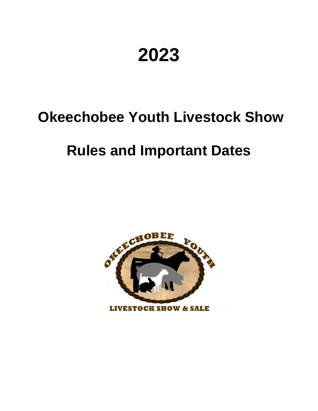# **2023**

# **Okeechobee Youth Livestock Show**

# **Rules and Important Dates**

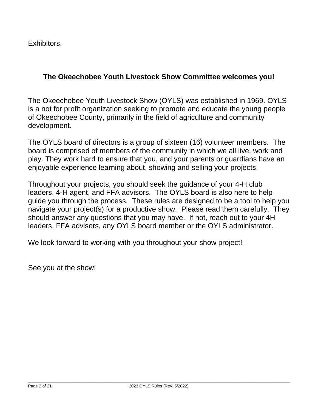Exhibitors,

#### **The Okeechobee Youth Livestock Show Committee welcomes you!**

The Okeechobee Youth Livestock Show (OYLS) was established in 1969. OYLS is a not for profit organization seeking to promote and educate the young people of Okeechobee County, primarily in the field of agriculture and community development.

The OYLS board of directors is a group of sixteen (16) volunteer members. The board is comprised of members of the community in which we all live, work and play. They work hard to ensure that you, and your parents or guardians have an enjoyable experience learning about, showing and selling your projects.

Throughout your projects, you should seek the guidance of your 4-H club leaders, 4-H agent, and FFA advisors. The OYLS board is also here to help guide you through the process. These rules are designed to be a tool to help you navigate your project(s) for a productive show. Please read them carefully. They should answer any questions that you may have. If not, reach out to your 4H leaders, FFA advisors, any OYLS board member or the OYLS administrator.

We look forward to working with you throughout your show project!

See you at the show!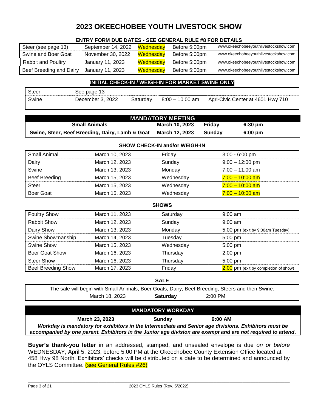### **2023 OKEECHOBEE YOUTH LIVESTOCK SHOW**

#### **ENTRY FORM DUE DATES - SEE GENERAL RULE #8 FOR DETAILS**

| Steer (see page 13)     | September 14, 2022 | <u>Wednesdav</u> | Before 5:00pm | www.okeechobeeyouthlivestockshow.com |
|-------------------------|--------------------|------------------|---------------|--------------------------------------|
| Swine and Boer Goat     | November 30, 2022  | Wednesdav        | Before 5:00pm | www.okeechobeeyouthlivestockshow.com |
| Rabbit and Poultry      | January 11, 2023   | <u>Wednesdav</u> | Before 5:00pm | www.okeechobeeyouthlivestockshow.com |
| Beef Breeding and Dairy | January 11, 2023   | Wednesdav        | Before 5:00pm | www.okeechobeeyouthlivestockshow.com |

#### **INITIAL CHECK-IN / WEIGH-IN FOR MARKET SWINE ONLY**

| Steer | nage<br>.ee :<br>ົ       |          |                      |                                                                  |
|-------|--------------------------|----------|----------------------|------------------------------------------------------------------|
| Swine | 2022<br>$\Delta$ ecember | aturdavٽ | 10:00 am<br>$8:00 -$ | 710<br>. 4601<br>Civic<br>Agri- <sup>r</sup><br>Center at<br>Hwv |

|                                                 |                      | <b>MANDATORY MEETING</b> |               |                                      |  |
|-------------------------------------------------|----------------------|--------------------------|---------------|--------------------------------------|--|
|                                                 | <b>Small Animals</b> | March 10, 2023           | <b>Friday</b> | 6:30 pm                              |  |
| Swine, Steer, Beef Breeding, Dairy, Lamb & Goat | March 12, 2023       | Sunday                   | 6:00 pm       |                                      |  |
| <b>SHOW CHECK-IN and/or WEIGH-IN</b>            |                      |                          |               |                                      |  |
| Small Animal                                    | March 10, 2023       | Friday                   |               | $3:00 - 6:00$ pm                     |  |
| Dairy                                           | March 12, 2023       | Sunday                   |               | $9:00 - 12:00$ pm                    |  |
| Swine                                           | March 13, 2023       | Monday                   |               | $7:00 - 11:00$ am                    |  |
| <b>Beef Breeding</b>                            | March 15, 2023       | Wednesday                |               | $7:00 - 10:00$ am                    |  |
| <b>Steer</b>                                    | March 15, 2023       | Wednesday                |               | $7:00 - 10:00$ am                    |  |
| <b>Boer Goat</b>                                | March 15, 2023       | Wednesday                |               | $7:00 - 10:00$ am                    |  |
|                                                 |                      | <b>SHOWS</b>             |               |                                      |  |
| <b>Poultry Show</b>                             | March 11, 2023       | Saturday                 | $9:00$ am     |                                      |  |
| <b>Rabbit Show</b>                              | March 12, 2023       | Sunday                   | $9:00$ am     |                                      |  |
| Dairy Show                                      | March 13, 2023       | Monday                   |               | 5:00 pm (exit by 9:00am Tuesday)     |  |
| Swine Showmanship                               | March 14, 2023       | Tuesday                  | 5:00 pm       |                                      |  |
| Swine Show                                      | March 15, 2023       | Wednesday                | 5:00 pm       |                                      |  |
| <b>Boer Goat Show</b>                           | March 16, 2023       | Thursday                 | $2:00$ pm     |                                      |  |
| <b>Steer Show</b>                               | March 16, 2023       | Thursday                 | $5:00$ pm     |                                      |  |
| <b>Beef Breeding Show</b>                       | March 17, 2023       | Friday                   |               | 2:00 pm (exit by completion of show) |  |
| <b>SALE</b>                                     |                      |                          |               |                                      |  |

The sale will begin with Small Animals, Boer Goats, Dairy, Beef Breeding, Steers and then Swine. March 18, 2023 **Saturday** 2:00 PM

| <b>MANDATORY WORKDAY</b>                                                                                    |                       |        |           |  |
|-------------------------------------------------------------------------------------------------------------|-----------------------|--------|-----------|--|
|                                                                                                             | <b>March 23, 2023</b> | Sunday | $9:00$ AM |  |
| Workday is mandatory for exhibitors in the Intermediate and Senior age divisions. Exhibitors must be        |                       |        |           |  |
| accompanied by one parent. Exhibitors in the Junior age division are exempt and are not required to attend. |                       |        |           |  |

**Buyer's thank-you letter** in an addressed, stamped, and unsealed envelope is due *on or before* WEDNESDAY, April 5, 2023, before 5:00 PM at the Okeechobee County Extension Office located at 458 Hwy 98 North. Exhibitors' checks will be distributed on a date to be determined and announced by the OYLS Committee. (see General Rules #26)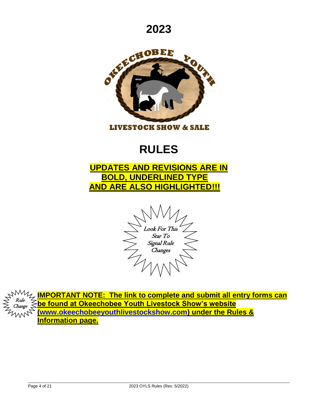**2023**



# **RULES**

### **UPDATES AND REVISIONS ARE IN BOLD, UNDERLINED TYPE AND ARE ALSO HIGHLIGHTED!!!**





**IMPORTANT NOTE: The link to complete and submit all entry forms can be found at Okeechobee Youth Livestock Show's website [\(www.okeechobeeyouthlivestockshow.com\)](http://www.okeechobeeyouthlivestockshow.com/) under the Rules & Information page.**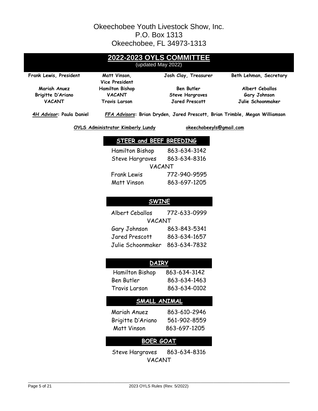#### Okeechobee Youth Livestock Show, Inc. P.O. Box 1313 Okeechobee, FL 34973-1313

|                          | <b>2022-2023 OYLS COMMITTEE</b>          |                                                 |                                                                             |
|--------------------------|------------------------------------------|-------------------------------------------------|-----------------------------------------------------------------------------|
|                          | (updated May 2022)                       |                                                 |                                                                             |
| Frank Lewis, President   | Matt Vinson,                             | Josh Clay, Treasurer                            | Beth Lehman, Secretary                                                      |
|                          | <b>Vice President</b>                    |                                                 |                                                                             |
| Mariah Anuez             | <b>Hamilton Bishop</b>                   | <b>Ben Butler</b>                               | Albert Ceballos                                                             |
| Brigitte D'Ariano        | <b>VACANT</b>                            | <b>Steve Hargraves</b><br><b>Jared Prescott</b> | Gary Johnson<br>Julie Schoonmaker                                           |
| <b>VACANT</b>            | <b>Travis Larson</b>                     |                                                 |                                                                             |
| 4H Advisor: Paula Daniel |                                          |                                                 | FFA Advisors: Brian Dryden, Jared Prescott, Brian Trimble, Megan Williamson |
|                          | <b>OYLS Administrator Kimberly Lundy</b> | okeechobeeyIs@gmail.com                         |                                                                             |
|                          | STEER and BEEF BREEDING                  |                                                 |                                                                             |
|                          | Hamilton Bishop                          | 863-634-3142                                    |                                                                             |
|                          | Steve Hargraves                          | 863-634-8316                                    |                                                                             |
|                          | VACANT                                   |                                                 |                                                                             |
|                          | <b>Frank Lewis</b>                       | 772-940-9595                                    |                                                                             |
|                          | Matt Vinson                              | 863-697-1205                                    |                                                                             |
|                          |                                          |                                                 |                                                                             |
|                          |                                          |                                                 |                                                                             |
|                          | <b>SWINE</b>                             |                                                 |                                                                             |
|                          | Albert Ceballos                          | 772-633-0999                                    |                                                                             |
|                          | VACANT                                   |                                                 |                                                                             |
|                          | Gary Johnson                             | 863-843-5341                                    |                                                                             |
|                          | Jared Prescott                           | 863-634-1657                                    |                                                                             |
|                          | Julie Schoonmaker 863-634-7832           |                                                 |                                                                             |
|                          |                                          |                                                 |                                                                             |
|                          | <b>DAIRY</b>                             |                                                 |                                                                             |
|                          | Hamilton Bishop                          | 863-634-3142                                    |                                                                             |
|                          | Ben Butler                               | 863-634-1463                                    |                                                                             |
|                          | <b>Travis Larson</b>                     | 863-634-0102                                    |                                                                             |
|                          |                                          |                                                 |                                                                             |
|                          | SMALL ANIMAL                             |                                                 |                                                                             |
|                          | Mariah Anuez                             | 863-610-2946                                    |                                                                             |
|                          | Brigitte D'Ariano                        | 561-902-8559                                    |                                                                             |
|                          | Matt Vinson                              | 863-697-1205                                    |                                                                             |
|                          |                                          |                                                 |                                                                             |
|                          | <b>BOER GOAT</b>                         |                                                 |                                                                             |
|                          | <b>Steve Hargraves</b>                   | 863-634-8316                                    |                                                                             |
|                          | VACANT                                   |                                                 |                                                                             |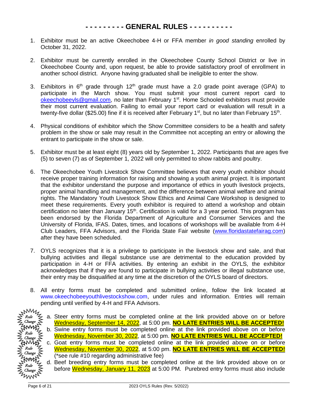- 1. Exhibitor must be an active Okeechobee 4-H or FFA member *in good standing* enrolled by October 31, 2022.
- 2. Exhibitor must be currently enrolled in the Okeechobee County School District or live in Okeechobee County and, upon request, be able to provide satisfactory proof of enrollment in another school district. Anyone having graduated shall be ineligible to enter the show.
- 3. Exhibitors in  $6<sup>th</sup>$  grade through 12<sup>th</sup> grade must have a 2.0 grade point average (GPA) to participate in the March show. You must submit your most current report card to [okeechobeeyls@gmail.com,](mailto:okeechobeeyls@gmail.com) no later than February 1<sup>st</sup>. Home Schooled exhibitors must provide their most current evaluation. Failing to email your report card or evaluation will result in a twenty-five dollar (\$25.00) fine if it is received after February 1<sup>st</sup>, but no later than February 15<sup>th</sup>.
- 4. Physical conditions of exhibitor which the Show Committee considers to be a health and safety problem in the show or sale may result in the Committee not accepting an entry or allowing the entrant to participate in the show or sale.
- 5. Exhibitor must be at least eight (8) years old by September 1, 2022. Participants that are ages five (5) to seven (7) as of September 1, 2022 will only permitted to show rabbits and poultry.
- 6. The Okeechobee Youth Livestock Show Committee believes that every youth exhibitor should receive proper training information for raising and showing a youth animal project. It is important that the exhibitor understand the purpose and importance of ethics in youth livestock projects, proper animal handling and management, and the difference between animal welfare and animal rights. The Mandatory Youth Livestock Show Ethics and Animal Care Workshop is designed to meet these requirements. Every youth exhibitor is required to attend a workshop and obtain certification no later than January 15<sup>th</sup>. Certification is valid for a 3 year period. This program has been endorsed by the Florida Department of Agriculture and Consumer Services and the University of Florida, IFAS. Dates, times, and locations of workshops will be available from 4-H Club Leaders, FFA Advisors, and the Florida State Fair website [\(www.floridastatefairag.com\)](http://www.floridastatefairag.com/) after they have been scheduled.
- 7. OYLS recognizes that it is a privilege to participate in the livestock show and sale, and that bullying activities and illegal substance use are detrimental to the education provided by participation in 4-H or FFA activities. By entering an exhibit in the OYLS, the exhibitor acknowledges that if they are found to participate in bullying activities or illegal substance use, their entry may be disqualified at any time at the discretion of the OYLS board of directors.
- 8. All entry forms must be completed and submitted online, follow the link located at [www.okeechobeeyouthlivestockshow.com,](http://www.okeechobeeyouthlivestockshow.com/) under rules and information. Entries will remain pending until verified by 4-H and FFA Advisors.



a. Steer entry forms must be completed online at the link provided above on or before Wednesday, September 14, 2022, at 5:00 pm. **NO LATE ENTRIES WILL BE ACCEPTED!** b. Swine entry forms must be completed online at the link provided above on or before Wednesday, November 30, 2022, at 5:00 pm. **NO LATE ENTRIES WILL BE ACCEPTED!** c. Goat entry forms must be completed online at the link provided above on or before Wednesday, November 30, 2022, at 5:00 pm. **NO LATE ENTRIES WILL BE ACCEPTED!** (\*see rule #10 regarding administrative fee)

d. Beef breeding entry forms must be completed online at the link provided above on or before Wednesday, January 11, 2023 at 5:00 PM. Purebred entry forms must also include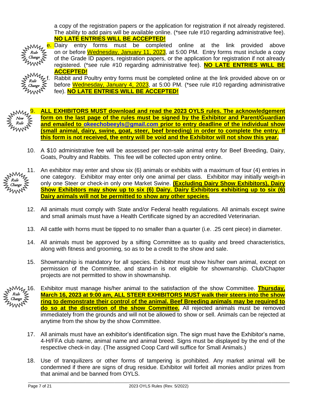a copy of the registration papers or the application for registration if not already registered. The ability to add pairs will be available online. (\*see rule #10 regarding administrative fee). **NO LATE ENTRIES WILL BE ACCEPTED!**



Dairy entry forms must be completed online at the link provided above on or before Wednesday, January 11, 2023, at 5:00 PM. Entry forms must include a copy of the Grade ID papers, registration papers, or the application for registration if not already registered. (\*see rule #10 regarding administrative fee). **NO LATE ENTRIES WILL BE ACCEPTED!**



f. Rabbit and Poultry entry forms must be completed online at the link provided above on or before Wednesday, January 4, 2023, at 5:00 PM. (\*see rule #10 regarding administrative fee). **NO LATE ENTRIES WILL BE ACCEPTED!**



9. **ALL EXHIBITORS MUST download and read the 2023 OYLS rules. The acknowledgement form on the last page of the rules must be signed by the Exhibitor and Parent/Guardian and emailed to [okeechobeeyls@gmail.com](mailto:okeechobeeyls@gmail.com) prior to entry deadline of the individual show (small animal, dairy, swine, goat, steer, beef breeding) in order to complete the entry. If this form is not received, the entry will be void and the Exhibitor will not show this year.**

10. A \$10 administrative fee will be assessed per non-sale animal entry for Beef Breeding, Dairy, Goats, Poultry and Rabbits. This fee will be collected upon entry online.



- 11. An exhibitor may enter and show six (6) animals or exhibits with a maximum of four (4) entries in one category. Exhibitor may enter only one animal per class. Exhibitor may initially weigh-in only one Steer *or* check-in only one Market Swine. **(Excluding Dairy Show Exhibitors), Dairy Show Exhibitors may show up to six (6) Dairy. Dairy Exhibitors exhibiting up to six (6) Dairy animals will not be permitted to show any other species.**
- 12. All animals must comply with State and/or Federal health regulations. All animals except swine and small animals must have a Health Certificate signed by an accredited Veterinarian.
- 13. All cattle with horns must be tipped to no smaller than a quarter (i.e. .25 cent piece) in diameter.
- 14. All animals must be approved by a sifting Committee as to quality and breed characteristics, along with fitness and grooming, so as to be a credit to the show and sale.
- 15. Showmanship is mandatory for all species. Exhibitor must show his/her own animal, except on permission of the Committee, and stand-in is not eligible for showmanship. Club/Chapter projects are not permitted to show in showmanship.



16. Exhibitor must manage his/her animal to the satisfaction of the show Committee. **Thursday, March 16, 2023 at 9:00 am, ALL STEER EXHIBITORS MUST walk their steers into the show ring to demonstrate their control of the animal. Beef Breeding animals may be required to do so at the discretion of the show Committee.** All rejected animals must be removed immediately from the grounds and will not be allowed to show or sell. Animals can be rejected at anytime from the show by the show Committee.

- 17. All animals must have an exhibitor's identification sign. The sign must have the Exhibitor's name, 4-H/FFA club name, animal name and animal breed. Signs must be displayed by the end of the respective check-in day. (The assigned Coop Card will suffice for Small Animals.)
- 18. Use of tranquilizers or other forms of tampering is prohibited. Any market animal will be condemned if there are signs of drug residue. Exhibitor will forfeit all monies and/or prizes from that animal and be banned from OYLS.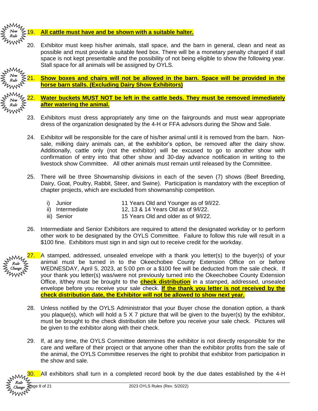

#### All cattle must have and be shown with a suitable halter.

20. Exhibitor must keep his/her animals, stall space, and the barn in general, clean and neat as possible and must provide a suitable feed box. There will be a monetary penalty charged if stall space is not kept presentable and the possibility of not being eligible to show the following year. Stall space for all animals will be assigned by OYLS.



21. **Show boxes and chairs will not be allowed in the barn. Space will be provided in the horse barn stalls. (Excluding Dairy Show Exhibitors)**

22. **Water buckets MUST NOT be left in the cattle beds. They must be removed immediately after watering the animal.**

- 23. Exhibitors must dress appropriately any time on the fairgrounds and must wear appropriate dress of the organization designated by the 4-H or FFA advisors during the Show and Sale.
- 24. Exhibitor will be responsible for the care of his/her animal until it is removed from the barn. Nonsale, milking dairy animals can, at the exhibitor's option, be removed after the dairy show. Additionally, cattle only (not the exhibitor) will be excused to go to another show with confirmation of entry into that other show and 30-day advance notification in writing to the livestock show Committee. All other animals must remain until released by the Committee.
- 25. There will be three Showmanship divisions in each of the seven (7) shows (Beef Breeding, Dairy, Goat, Poultry, Rabbit, Steer, and Swine). Participation is mandatory with the exception of chapter projects, which are excluded from showmanship competition.
	-

i) Junior 11 Years Old and Younger as of 9/l/22.

ii) Intermediate  $12, 13 & 14$  Years Old as of  $9/1/22$ .

- iii) Senior 15 Years Old and older as of 9/l/22.
- 26. Intermediate and Senior Exhibitors are required to attend the designated workday or to perform other work to be designated by the OYLS Committee. Failure to follow this rule will result in a \$100 fine. Exhibitors must sign in and sign out to receive credit for the workday.



A stamped, addressed, unsealed envelope with a thank you letter(s) to the buyer(s) of your animal must be turned in to the Okeechobee County Extension Office on or before WEDNESDAY, April 5, 2023, at 5:00 pm or a \$100 fee will be deducted from the sale check. If your thank you letter(s) was/were not previously turned into the Okeechobee County Extension Office, it/they must be brought to the **check distribution** in a stamped, addressed, unsealed envelope before you receive your sale check. **If the thank you letter is not received by the check distribution date, the Exhibitor will not be allowed to show next year.**

- 28. Unless notified by the OYLS Administrator that your Buyer chose the donation option, a thank you plaque(s), which will hold a 5 X 7 picture that will be given to the buyer(s) by the exhibitor, must be brought to the check distribution site before you receive your sale check. Pictures will be given to the exhibitor along with their check.
- 29. If, at any time, the OYLS Committee determines the exhibitor is not directly responsible for the care and welfare of their project or that anyone other than the exhibitor profits from the sale of the animal, the OYLS Committee reserves the right to prohibit that exhibitor from participation in the show and sale.



 $\blacksquare$  All exhibitors shall turn in a completed record book by the due dates established by the 4-H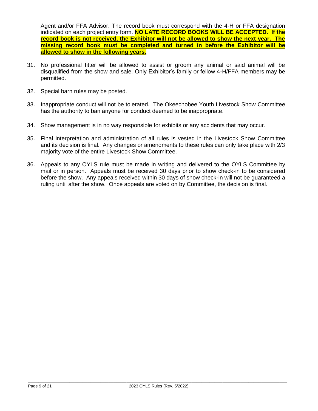Agent and/or FFA Advisor. The record book must correspond with the 4-H or FFA designation indicated on each project entry form. **NO LATE RECORD BOOKS WILL BE ACCEPTED. If the record book is not received, the Exhibitor will not be allowed to show the next year. The missing record book must be completed and turned in before the Exhibitor will be allowed to show in the following years.**

- 31. No professional fitter will be allowed to assist or groom any animal or said animal will be disqualified from the show and sale. Only Exhibitor's family or fellow 4-H/FFA members may be permitted.
- 32. Special barn rules may be posted.
- 33. Inappropriate conduct will not be tolerated. The Okeechobee Youth Livestock Show Committee has the authority to ban anyone for conduct deemed to be inappropriate.
- 34. Show management is in no way responsible for exhibits or any accidents that may occur.
- 35. Final interpretation and administration of all rules is vested in the Livestock Show Committee and its decision is final. Any changes or amendments to these rules can only take place with 2/3 majority vote of the entire Livestock Show Committee.
- 36. Appeals to any OYLS rule must be made in writing and delivered to the OYLS Committee by mail or in person. Appeals must be received 30 days prior to show check-in to be considered before the show. Any appeals received within 30 days of show check-in will not be guaranteed a ruling until after the show. Once appeals are voted on by Committee, the decision is final.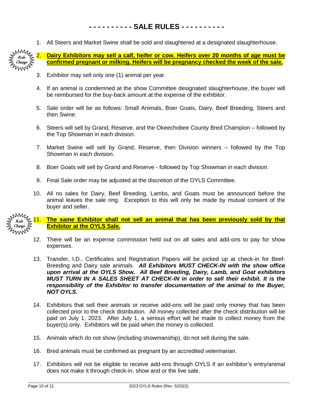#### **- - - - - - - - - - SALE RULES - - - - - - - - - -**

1. All Steers and Market Swine shall be sold and slaughtered at a designated slaughterhouse.



2. **Dairy Exhibitors may sell a calf, heifer or cow. Heifers over 20 months of age must be confirmed pregnant or milking. Heifers will be pregnancy checked the week of the sale.**

- 3. Exhibitor may sell only one (1) animal per year.
- 4. If an animal is condemned at the show Committee designated slaughterhouse, the buyer will be reimbursed for the buy-back amount at the expense of the exhibitor.
- 5. Sale order will be as follows: Small Animals, Boer Goats, Dairy, Beef Breeding, Steers and then Swine.
- 6. Steers will sell by Grand, Reserve, and the Okeechobee County Bred Champion followed by the Top Showman in each division.
- 7. Market Swine will sell by Grand, Reserve, then Division winners followed by the Top Showman in each division.
- 8. Boer Goats will sell by Grand and Reserve followed by Top Showman in each division.
- 9. Final Sale order may be adjusted at the discretion of the OYLS Committee.
- 10. All no sales for Dairy, Beef Breeding, Lambs, and Goats must be announced before the animal leaves the sale ring. Exception to this will only be made by mutual consent of the buyer and seller.



11. **The same Exhibitor shall not sell an animal that has been previously sold by that Exhibitor at the OYLS Sale.**

- 12. There will be an expense commission held out on all sales and add-ons to pay for show expenses.
- 13. Transfer, I.D., Certificates and Registration Papers will be picked up at check-in for Beef-Breeding and Dairy sale animals. *All Exhibitors MUST CHECK-IN with the show office upon arrival at the OYLS Show. All Beef Breeding, Dairy, Lamb, and Goat exhibitors MUST TURN IN A SALES SHEET AT CHECK-IN in order to sell their exhibit. It is the responsibility of the Exhibitor to transfer documentation of the animal to the Buyer, NOT OYLS.*
- 14. Exhibitors that sell their animals or receive add-ons will be paid only money that has been collected prior to the check distribution. All money collected after the check distribution will be paid on July 1, 2023. After July 1, a serious effort will be made to collect money from the buyer(s) only. Exhibitors will be paid when the money is collected.
- 15. Animals which do not show (including showmanship), do not sell during the sale.
- 16. Bred animals must be confirmed as pregnant by an accredited veterinarian.
- 17. Exhibitors will not be eligible to receive add-ons through OYLS if an exhibitor's entry/animal does not make it through check-in, show and or the live sale.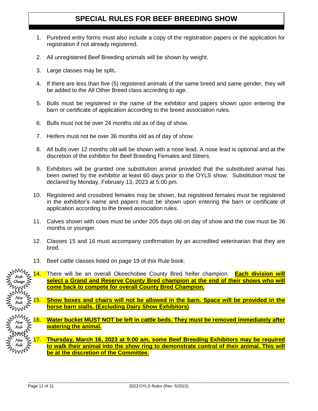#### **SPECIAL RULES FOR BEEF BREEDING SHOW**

- 1. Purebred entry forms must also include a copy of the registration papers or the application for registration if not already registered.
- 2. All unregistered Beef Breeding animals will be shown by weight.
- 3. Large classes may be split**.**
- 4. If there are less than five (5) registered animals of the same breed and same gender, they will be added to the All Other Breed class according to age.
- 5. Bulls must be registered in the name of the exhibitor and papers shown upon entering the barn or certificate of application according to the breed association rules.
- 6. Bulls must not be over 24 months old as of day of show.
- 7. Heifers must not be over 36 months old as of day of show.
- 8. All bulls over 12 months old will be shown with a nose lead. A nose lead is optional and at the discretion of the exhibitor for Beef Breeding Females and Steers.
- 9. Exhibitors will be granted one substitution animal provided that the substituted animal has been owned by the exhibitor at least 60 days prior to the OYLS show. Substitution must be declared by Monday, February 13, 2023 at 5:00 pm.
- 10. Registered and crossbred females may be shown, but registered females must be registered in the exhibitor's name and papers must be shown upon entering the barn or certificate of application according to the breed association rules.
- 11. Calves shown with cows must be under 205 days old on day of show and the cow must be 36 months or younger.
- 12. Classes 15 and 16 must accompany confirmation by an accredited veterinarian that they are bred.
- 13. Beef cattle classes listed on page 19 of this Rule book.

14. There will be an overall Okeechobee County Bred heifer champion. **Each division will select a Grand and Reserve County Bred champion at the end of their shows who will come back to compete for overall County Bred Champion.** 15. **Show boxes and chairs will not be allowed in the barn. Space will be provided in the horse barn stalls. (Excluding Dairy Show Exhibitors)** 16. **Water bucket MUST NOT be left in cattle beds. They must be removed immediately after watering the animal.** 17. **Thursday, March 16, 2023 at 9:00 am, some Beef Breeding Exhibitors may be required to walk their animal into the show ring to demonstrate control of their animal. This will be at the discretion of the Committee.** Rule Change New Rule ., New Rule .. New Rule - 1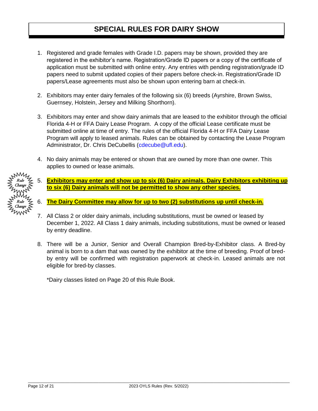#### **SPECIAL RULES FOR DAIRY SHOW**

- 1. Registered and grade females with Grade I.D. papers may be shown, provided they are registered in the exhibitor's name. Registration/Grade ID papers or a copy of the certificate of application must be submitted with online entry. Any entries with pending registration/grade ID papers need to submit updated copies of their papers before check-in. Registration/Grade ID papers/Lease agreements must also be shown upon entering barn at check-in.
- 2. Exhibitors may enter dairy females of the following six (6) breeds (Ayrshire, Brown Swiss, Guernsey, Holstein, Jersey and Milking Shorthorn).
- 3. Exhibitors may enter and show dairy animals that are leased to the exhibitor through the official Florida 4-H or FFA Dairy Lease Program. A copy of the official Lease certificate must be submitted online at time of entry. The rules of the official Florida 4-H or FFA Dairy Lease Program will apply to leased animals. Rules can be obtained by contacting the Lease Program Administrator, Dr. Chris DeCubellis [\(cdecube@ufl.edu\)](mailto:cdecube@ufl.edu).
- 4. No dairy animals may be entered or shown that are owned by more than one owner. This applies to owned or lease animals.
- 5. **Exhibitors may enter and show up to six (6) Dairy animals. Dairy Exhibitors exhibiting up to six (6) Dairy animals will not be permitted to show any other species.**
- 6. **The Dairy Committee may allow for up to two (2) substitutions up until check-in.**
- 7. All Class 2 or older dairy animals, including substitutions, must be owned or leased by December 1, 2022. All Class 1 dairy animals, including substitutions, must be owned or leased by entry deadline.
- 8. There will be a Junior, Senior and Overall Champion Bred-by-Exhibitor class. A Bred-by animal is born to a dam that was owned by the exhibitor at the time of breeding. Proof of bredby entry will be confirmed with registration paperwork at check-in. Leased animals are not eligible for bred-by classes.

\*Dairy classes listed on Page 20 of this Rule Book.

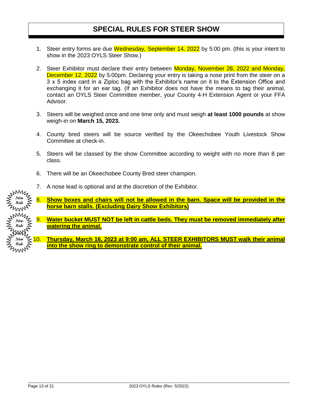#### **SPECIAL RULES FOR STEER SHOW**

- 1. Steer entry forms are due Wednesday, September 14, 2022 by 5:00 pm. (this is your intent to show in the 2023 OYLS Steer Show.)
- 2. Steer Exhibitor must declare their entry between Monday, November 28, 2022 and Monday, **December 12, 2022** by 5:00pm. Declaring your entry is taking a nose print from the steer on a 3 x 5 index card in a Ziploc bag with the Exhibitor's name on it to the Extension Office and exchanging it for an ear tag. (If an Exhibitor does not have the means to tag their animal, contact an OYLS Steer Committee member, your County 4-H Extension Agent or your FFA Advisor.
- 3. Steers will be weighed once and one time only and must weigh **at least 1000 pounds** at show weigh-in on **March 15, 2023.**
- 4. County bred steers will be source verified by the Okeechobee Youth Livestock Show Committee at check-in.
- 5. Steers will be classed by the show Committee according to weight with no more than 8 per class.
- 6. There will be an Okeechobee County Bred steer champion.
- 7. A nose lead is optional and at the discretion of the Exhibitor.

Show boxes and chairs will not be allowed in the barn. Space will be provided in the **horse barn stalls. (Excluding Dairy Show Exhibitors)**

9. **Water bucket MUST NOT be left in cattle beds. They must be removed immediately after watering the animal.**

**Thursday, March 16, 2023 at 9:00 am, ALL STEER EXHIBITORS MUST walk their animal into the show ring to demonstrate control of their animal.** 

New Rule . .

New Rule **CONTRACTOR** ۰. New Rule .,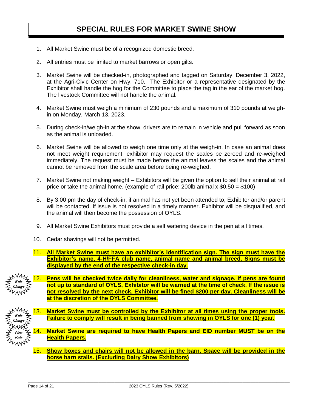#### **SPECIAL RULES FOR MARKET SWINE SHOW**

- 1. All Market Swine must be of a recognized domestic breed.
- 2. All entries must be limited to market barrows or open gilts.
- 3. Market Swine will be checked-in, photographed and tagged on Saturday, December 3, 2022, at the Agri-Civic Center on Hwy. 710. The Exhibitor or a representative designated by the Exhibitor shall handle the hog for the Committee to place the tag in the ear of the market hog. The livestock Committee will not handle the animal.
- 4. Market Swine must weigh a minimum of 230 pounds and a maximum of 310 pounds at weighin on Monday, March 13, 2023.
- 5. During check-in/weigh-in at the show, drivers are to remain in vehicle and pull forward as soon as the animal is unloaded.
- 6. Market Swine will be allowed to weigh one time only at the weigh-in. In case an animal does not meet weight requirement, exhibitor may request the scales be zeroed and re-weighed immediately. The request must be made before the animal leaves the scales and the animal cannot be removed from the scale area before being re-weighed.
- 7. Market Swine not making weight Exhibitors will be given the option to sell their animal at rail price or take the animal home. (example of rail price: 200lb animal  $x $0.50 = $100$ )
- 8. By 3:00 pm the day of check-in, if animal has not yet been attended to, Exhibitor and/or parent will be contacted. If issue is not resolved in a timely manner. Exhibitor will be disqualified, and the animal will then become the possession of OYLS.
- 9. All Market Swine Exhibitors must provide a self watering device in the pen at all times.
- 10. Cedar shavings will not be permitted.
- 11. **All Market Swine must have an exhibitor's identification sign. The sign must have the Exhibitor's name, 4-H/FFA club name, animal name and animal breed. Signs must be displayed by the end of the respective check-in day.**



Pens will be checked twice daily for cleanliness, water and signage. If pens are found **not up to standard of OYLS, Exhibitor will be warned at the time of check. If the issue is not resolved by the next check, Exhibitor will be fined \$200 per day. Cleanliness will be at the discretion of the OYLS Committee.**



- 13. **Market Swine must be controlled by the Exhibitor at all times using the proper tools. Failure to comply will result in being banned from showing in OYLS for one (1) year.**
- 14. **Market Swine are required to have Health Papers and EID number MUST be on the Health Papers.**
- 15. **Show boxes and chairs will not be allowed in the barn. Space will be provided in the horse barn stalls. (Excluding Dairy Show Exhibitors)**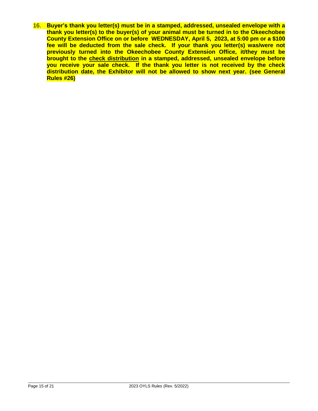16. **Buyer's thank you letter(s) must be in a stamped, addressed, unsealed envelope with a thank you letter(s) to the buyer(s) of your animal must be turned in to the Okeechobee County Extension Office on or before WEDNESDAY, April 5, 2023, at 5:00 pm or a \$100 fee will be deducted from the sale check. If your thank you letter(s) was/were not previously turned into the Okeechobee County Extension Office, it/they must be brought to the check distribution in a stamped, addressed, unsealed envelope before you receive your sale check. If the thank you letter is not received by the check distribution date, the Exhibitor will not be allowed to show next year. (see General Rules #26)**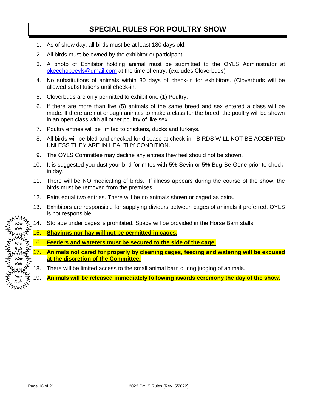#### **SPECIAL RULES FOR POULTRY SHOW**

- 1. As of show day, all birds must be at least 180 days old.
- 2. All birds must be owned by the exhibitor or participant.
- 3. A photo of Exhibitor holding animal must be submitted to the OYLS Administrator at [okeechobeeyls@gmail.com](mailto:okeechobeeyls@gmail.com) at the time of entry. (excludes Cloverbuds)
- 4. No substitutions of animals within 30 days of check-in for exhibitors. (Cloverbuds will be allowed substitutions until check-in.
- 5. Cloverbuds are only permitted to exhibit one (1) Poultry.
- 6. If there are more than five (5) animals of the same breed and sex entered a class will be made. If there are not enough animals to make a class for the breed, the poultry will be shown in an open class with all other poultry of like sex.
- 7. Poultry entries will be limited to chickens, ducks and turkeys.
- 8. All birds will be bled and checked for disease at check-in. BIRDS WILL NOT BE ACCEPTED UNLESS THEY ARE IN HEALTHY CONDITION.
- 9. The OYLS Committee may decline any entries they feel should not be shown.
- 10. It is suggested you dust your bird for mites with 5% Sevin or 5% Bug-Be-Gone prior to checkin day.
- 11. There will be NO medicating of birds. If illness appears during the course of the show, the birds must be removed from the premises.
- 12. Pairs equal two entries. There will be no animals shown or caged as pairs.
- 13. Exhibitors are responsible for supplying dividers between cages of animals if preferred, OYLS is not responsible.
- 14. Storage under cages is prohibited. Space will be provided in the Horse Barn stalls.
- 15. **Shavings nor hay will not be permitted in cages.**
- 16. **Feeders and waterers must be secured to the side of the cage.**
- 17. **Animals not cared for properly by cleaning cages, feeding and watering will be excused at the discretion of the Committee.**
- 18. There will be limited access to the small animal barn during judging of animals.
- 19. **Animals will be released immediately following awards ceremony the day of the show.**

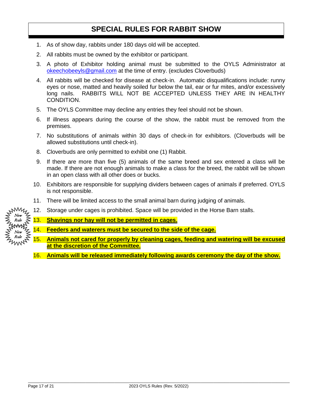#### **SPECIAL RULES FOR RABBIT SHOW**

- 1. As of show day, rabbits under 180 days old will be accepted.
- 2. All rabbits must be owned by the exhibitor or participant.
- 3. A photo of Exhibitor holding animal must be submitted to the OYLS Administrator at [okeechobeeyls@gmail.com](mailto:okeechobeeyls@gmail.com) at the time of entry. (excludes Cloverbuds)
- 4. All rabbits will be checked for disease at check-in. Automatic disqualifications include: runny eyes or nose, matted and heavily soiled fur below the tail, ear or fur mites, and/or excessively long nails. RABBITS WILL NOT BE ACCEPTED UNLESS THEY ARE IN HEALTHY CONDITION.
- 5. The OYLS Committee may decline any entries they feel should not be shown.
- 6. If illness appears during the course of the show, the rabbit must be removed from the premises.
- 7. No substitutions of animals within 30 days of check-in for exhibitors. (Cloverbuds will be allowed substitutions until check-in).
- 8. Cloverbuds are only permitted to exhibit one (1) Rabbit.
- 9. If there are more than five (5) animals of the same breed and sex entered a class will be made. If there are not enough animals to make a class for the breed, the rabbit will be shown in an open class with all other does or bucks.
- 10. Exhibitors are responsible for supplying dividers between cages of animals if preferred. OYLS is not responsible.
- 11. There will be limited access to the small animal barn during judging of animals.



- 13. **Shavings nor hay will not be permitted in cages.**
- 14. **Feeders and waterers must be secured to the side of the cage.**
- 15. **Animals not cared for properly by cleaning cages, feeding and watering will be excused at the discretion of the Committee.**
- 16. **Animals will be released immediately following awards ceremony the day of the show.**

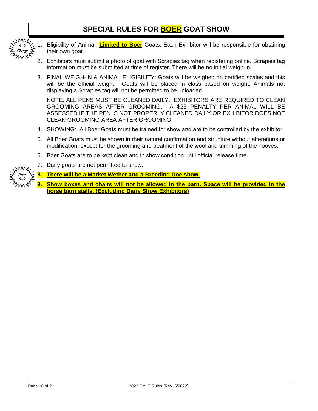#### **SPECIAL RULES FOR BOER GOAT SHOW**



- 1. Eligibility of Animal: **Limited to Boer** Goats. Each Exhibitor will be responsible for obtaining their own goat.
- 2. Exhibitors must submit a photo of goat with Scrapies tag when registering online. Scrapies tag information must be submitted at time of register. There will be no initial weigh-in.
- 3. FINAL WEIGH-IN & ANIMAL ELIGIBILITY: Goats will be weighed on certified scales and this will be the official weight. Goats will be placed in class based on weight. Animals not displaying a Scrapies tag will not be permitted to be unloaded.

NOTE: ALL PENS MUST BE CLEANED DAILY. EXHIBITORS ARE REQUIRED TO CLEAN GROOMING AREAS AFTER GROOMING. A \$25 PENALTY PER ANIMAL WILL BE ASSESSED IF THE PEN IS NOT PROPERLY CLEANED DAILY OR EXHIBITOR DOES NOT CLEAN GROOMING AREA AFTER GROOMING.

- 4. SHOWING: All Boer Goats must be trained for show and are to be controlled by the exhibitor.
- 5. All Boer Goats must be shown in their natural confirmation and structure without alterations or modification, except for the grooming and treatment of the wool and trimming of the hooves.
- 6. Boer Goats are to be kept clean and in show condition until official release time.
- 7. Dairy goats are not permitted to show.



**9. Show boxes and chairs will not be allowed in the barn. Space will be provided in the horse barn stalls. (Excluding Dairy Show Exhibitors)**



New Rule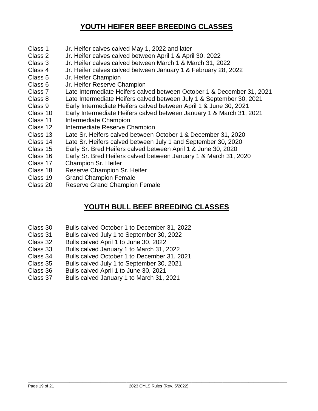#### **YOUTH HEIFER BEEF BREEDING CLASSES**

- Class 1 Jr. Heifer calves calved May 1, 2022 and later
- Class 2 Jr. Heifer calves calved between April 1 & April 30, 2022
- Class 3 Jr. Heifer calves calved between March 1 & March 31, 2022
- Class 4 Jr. Heifer calves calved between January 1 & February 28, 2022
- Class 5 Jr. Heifer Champion
- Class 6 Jr. Heifer Reserve Champion
- Class 7 Late Intermediate Heifers calved between October 1 & December 31, 2021
- Class 8 Late Intermediate Heifers calved between July 1 & September 30, 2021
- Class 9 Early Intermediate Heifers calved between April 1 & June 30, 2021
- Class 10 Early Intermediate Heifers calved between January 1 & March 31, 2021
- Class 11 Intermediate Champion
- Class 12 Intermediate Reserve Champion
- Class 13 Late Sr. Heifers calved between October 1 & December 31, 2020
- Class 14 Late Sr. Heifers calved between July 1 and September 30, 2020
- Class 15 Early Sr. Bred Heifers calved between April 1 & June 30, 2020
- Class 16 Early Sr. Bred Heifers calved between January 1 & March 31, 2020
- Class 17 Champion Sr. Heifer
- Class 18 Reserve Champion Sr. Heifer
- Class 19 Grand Champion Female
- Class 20 Reserve Grand Champion Female

#### **YOUTH BULL BEEF BREEDING CLASSES**

- Class 30 Bulls calved October 1 to December 31, 2022
- Class 31 Bulls calved July 1 to September 30, 2022
- Class 32 Bulls calved April 1 to June 30, 2022
- Class 33 Bulls calved January 1 to March 31, 2022
- Class 34 Bulls calved October 1 to December 31, 2021
- Class 35 Bulls calved July 1 to September 30, 2021
- Class 36 Bulls calved April 1 to June 30, 2021
- Class 37 Bulls calved January 1 to March 31, 2021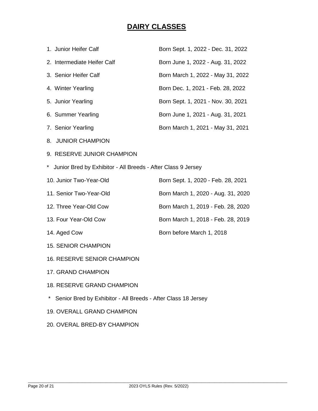#### **DAIRY CLASSES**

| 1. Junior Heifer Calf                                                   | Born Sept. 1, 2022 - Dec. 31, 2022 |  |  |
|-------------------------------------------------------------------------|------------------------------------|--|--|
| 2. Intermediate Heifer Calf                                             | Born June 1, 2022 - Aug. 31, 2022  |  |  |
| 3. Senior Heifer Calf                                                   | Born March 1, 2022 - May 31, 2022  |  |  |
| 4. Winter Yearling                                                      | Born Dec. 1, 2021 - Feb. 28, 2022  |  |  |
| 5. Junior Yearling                                                      | Born Sept. 1, 2021 - Nov. 30, 2021 |  |  |
| 6. Summer Yearling                                                      | Born June 1, 2021 - Aug. 31, 2021  |  |  |
| 7. Senior Yearling                                                      | Born March 1, 2021 - May 31, 2021  |  |  |
| 8. JUNIOR CHAMPION                                                      |                                    |  |  |
| 9. RESERVE JUNIOR CHAMPION                                              |                                    |  |  |
| $\star$<br>Junior Bred by Exhibitor - All Breeds - After Class 9 Jersey |                                    |  |  |
| 10. Junior Two-Year-Old                                                 | Born Sept. 1, 2020 - Feb. 28, 2021 |  |  |
| 11. Senior Two-Year-Old                                                 | Born March 1, 2020 - Aug. 31, 2020 |  |  |
| 12. Three Year-Old Cow                                                  | Born March 1, 2019 - Feb. 28, 2020 |  |  |
| 13. Four Year-Old Cow                                                   | Born March 1, 2018 - Feb. 28, 2019 |  |  |
| 14. Aged Cow                                                            | Born before March 1, 2018          |  |  |
| <b>15. SENIOR CHAMPION</b>                                              |                                    |  |  |
| <b>16. RESERVE SENIOR CHAMPION</b>                                      |                                    |  |  |
| 17. GRAND CHAMPION                                                      |                                    |  |  |
| <b>18. RESERVE GRAND CHAMPION</b>                                       |                                    |  |  |
| Senior Bred by Exhibitor - All Breeds - After Class 18 Jersey           |                                    |  |  |
|                                                                         |                                    |  |  |

- 19. OVERALL GRAND CHAMPION
- 20. OVERAL BRED-BY CHAMPION